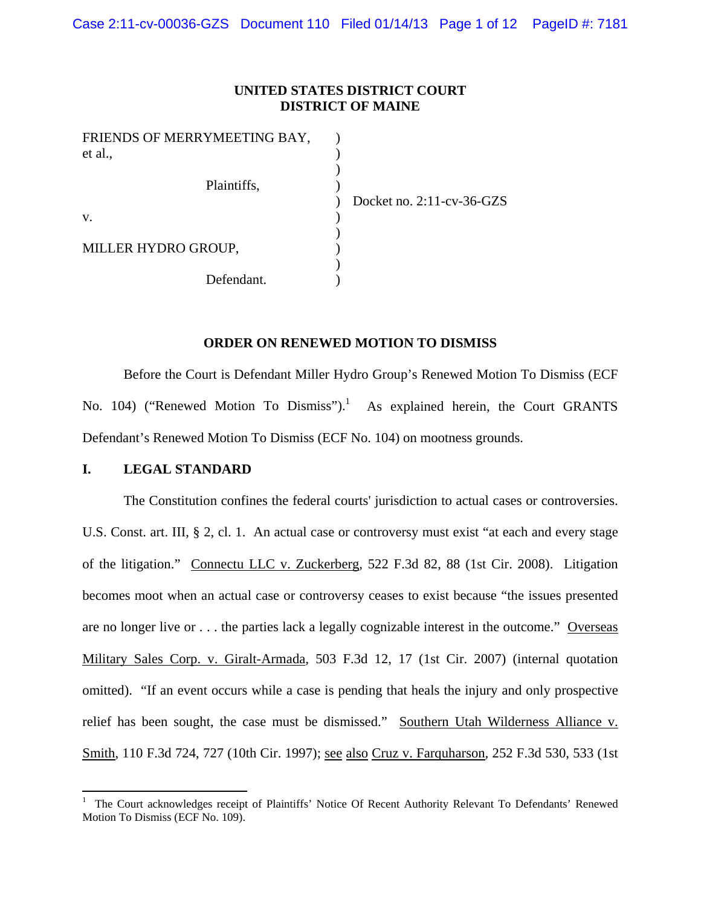## **UNITED STATES DISTRICT COURT DISTRICT OF MAINE**

| FRIENDS OF MERRYMEETING BAY, |                              |
|------------------------------|------------------------------|
| et al.,                      |                              |
| Plaintiffs,                  |                              |
|                              | Docket no. $2:11$ -cv-36-GZS |
| V.                           |                              |
| MILLER HYDRO GROUP,          |                              |
|                              |                              |
| Defendant.                   |                              |

## **ORDER ON RENEWED MOTION TO DISMISS**

Before the Court is Defendant Miller Hydro Group's Renewed Motion To Dismiss (ECF No. 104) ("Renewed Motion To Dismiss"). $<sup>1</sup>$  As explained herein, the Court GRANTS</sup> Defendant's Renewed Motion To Dismiss (ECF No. 104) on mootness grounds.

## **I. LEGAL STANDARD**

The Constitution confines the federal courts' jurisdiction to actual cases or controversies. U.S. Const. art. III, § 2, cl. 1. An actual case or controversy must exist "at each and every stage of the litigation." Connectu LLC v. Zuckerberg*,* 522 F.3d 82, 88 (1st Cir. 2008). Litigation becomes moot when an actual case or controversy ceases to exist because "the issues presented are no longer live or . . . the parties lack a legally cognizable interest in the outcome." Overseas Military Sales Corp. v. Giralt-Armada*,* 503 F.3d 12, 17 (1st Cir. 2007) (internal quotation omitted). "If an event occurs while a case is pending that heals the injury and only prospective relief has been sought, the case must be dismissed." Southern Utah Wilderness Alliance v. Smith, 110 F.3d 724, 727 (10th Cir. 1997); see also Cruz v. Farquharson*,* 252 F.3d 530, 533 (1st

<sup>1</sup> The Court acknowledges receipt of Plaintiffs' Notice Of Recent Authority Relevant To Defendants' Renewed Motion To Dismiss (ECF No. 109).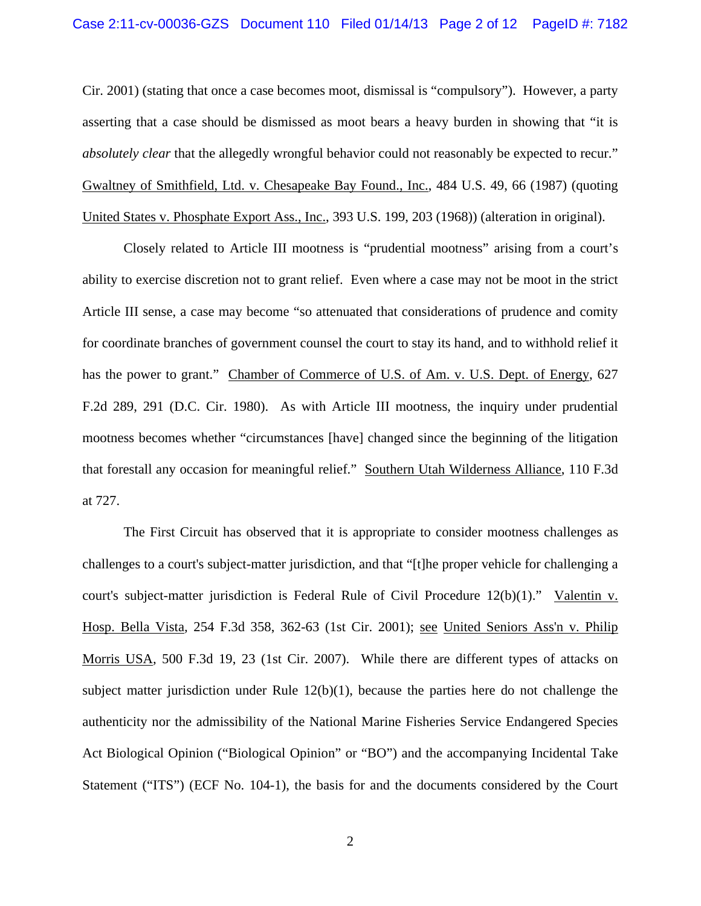## Case 2:11-cv-00036-GZS Document 110 Filed 01/14/13 Page 2 of 12 PageID #: 7182

Cir. 2001) (stating that once a case becomes moot, dismissal is "compulsory"). However, a party asserting that a case should be dismissed as moot bears a heavy burden in showing that "it is *absolutely clear* that the allegedly wrongful behavior could not reasonably be expected to recur." Gwaltney of Smithfield, Ltd. v. Chesapeake Bay Found., Inc., 484 U.S. 49, 66 (1987) (quoting United States v. Phosphate Export Ass., Inc., 393 U.S. 199, 203 (1968)) (alteration in original).

Closely related to Article III mootness is "prudential mootness" arising from a court's ability to exercise discretion not to grant relief. Even where a case may not be moot in the strict Article III sense, a case may become "so attenuated that considerations of prudence and comity for coordinate branches of government counsel the court to stay its hand, and to withhold relief it has the power to grant." Chamber of Commerce of U.S. of Am. v. U.S. Dept. of Energy, 627 F.2d 289, 291 (D.C. Cir. 1980). As with Article III mootness, the inquiry under prudential mootness becomes whether "circumstances [have] changed since the beginning of the litigation that forestall any occasion for meaningful relief." Southern Utah Wilderness Alliance, 110 F.3d at 727.

The First Circuit has observed that it is appropriate to consider mootness challenges as challenges to a court's subject-matter jurisdiction, and that "[t]he proper vehicle for challenging a court's subject-matter jurisdiction is Federal Rule of Civil Procedure 12(b)(1)." Valentin v. Hosp. Bella Vista*,* 254 F.3d 358, 362-63 (1st Cir. 2001); see United Seniors Ass'n v. Philip Morris USA*,* 500 F.3d 19, 23 (1st Cir. 2007). While there are different types of attacks on subject matter jurisdiction under Rule  $12(b)(1)$ , because the parties here do not challenge the authenticity nor the admissibility of the National Marine Fisheries Service Endangered Species Act Biological Opinion ("Biological Opinion" or "BO") and the accompanying Incidental Take Statement ("ITS") (ECF No. 104-1), the basis for and the documents considered by the Court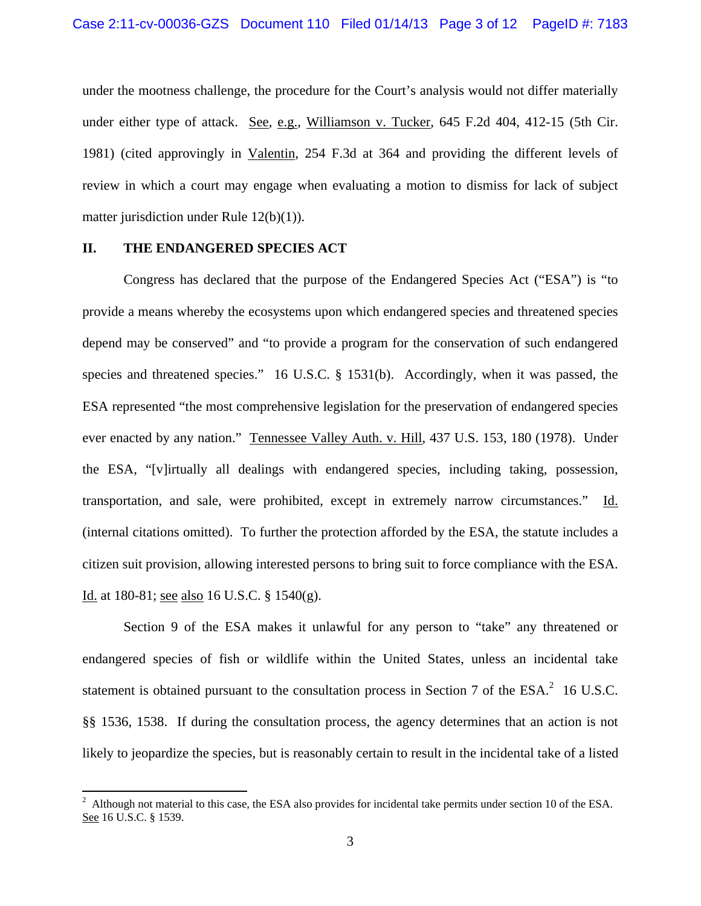under the mootness challenge, the procedure for the Court's analysis would not differ materially under either type of attack. See, e.g., Williamson v. Tucker, 645 F.2d 404, 412-15 (5th Cir. 1981) (cited approvingly in Valentin, 254 F.3d at 364 and providing the different levels of review in which a court may engage when evaluating a motion to dismiss for lack of subject matter jurisdiction under Rule 12(b)(1)).

### **II. THE ENDANGERED SPECIES ACT**

 Congress has declared that the purpose of the Endangered Species Act ("ESA") is "to provide a means whereby the ecosystems upon which endangered species and threatened species depend may be conserved" and "to provide a program for the conservation of such endangered species and threatened species." 16 U.S.C. § 1531(b). Accordingly, when it was passed, the ESA represented "the most comprehensive legislation for the preservation of endangered species ever enacted by any nation." Tennessee Valley Auth. v. Hill, 437 U.S. 153, 180 (1978). Under the ESA, "[v]irtually all dealings with endangered species, including taking, possession, transportation, and sale, were prohibited, except in extremely narrow circumstances." Id. (internal citations omitted). To further the protection afforded by the ESA, the statute includes a citizen suit provision, allowing interested persons to bring suit to force compliance with the ESA. Id. at 180-81; see also 16 U.S.C. § 1540(g).

 Section 9 of the ESA makes it unlawful for any person to "take" any threatened or endangered species of fish or wildlife within the United States, unless an incidental take statement is obtained pursuant to the consultation process in Section 7 of the  $ESA^2$  16 U.S.C. §§ 1536, 1538. If during the consultation process, the agency determines that an action is not likely to jeopardize the species, but is reasonably certain to result in the incidental take of a listed

<sup>2</sup> Although not material to this case, the ESA also provides for incidental take permits under section 10 of the ESA. See 16 U.S.C. § 1539.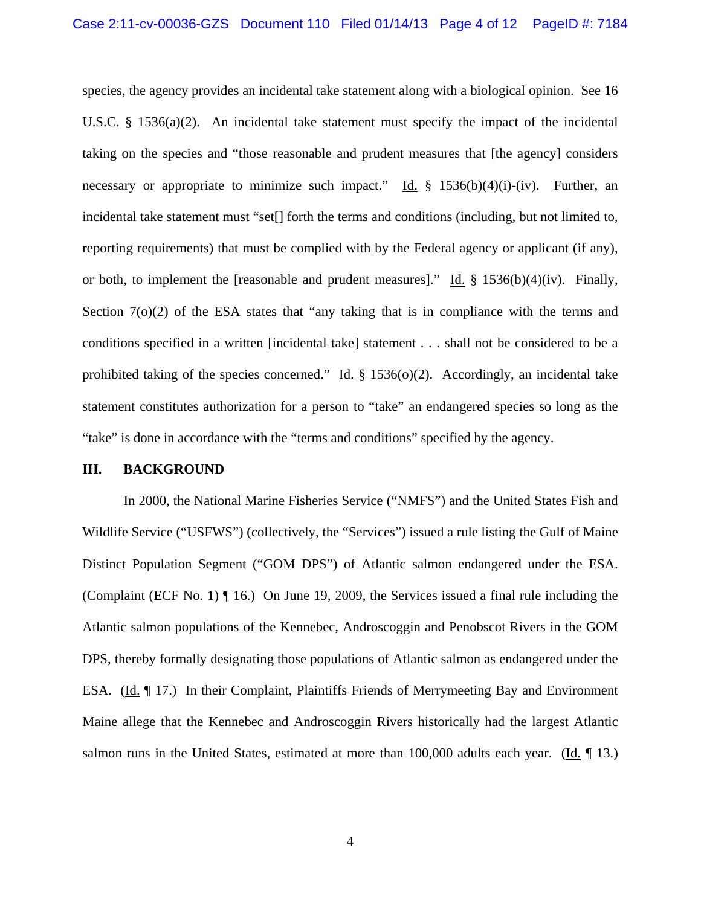species, the agency provides an incidental take statement along with a biological opinion. See 16 U.S.C. § 1536(a)(2). An incidental take statement must specify the impact of the incidental taking on the species and "those reasonable and prudent measures that [the agency] considers necessary or appropriate to minimize such impact." Id. § 1536(b)(4)(i)-(iv). Further, an incidental take statement must "set[] forth the terms and conditions (including, but not limited to, reporting requirements) that must be complied with by the Federal agency or applicant (if any), or both, to implement the [reasonable and prudent measures]." Id. § 1536(b)(4)(iv). Finally, Section 7(o)(2) of the ESA states that "any taking that is in compliance with the terms and conditions specified in a written [incidental take] statement . . . shall not be considered to be a prohibited taking of the species concerned." Id.  $\S$  1536(o)(2). Accordingly, an incidental take statement constitutes authorization for a person to "take" an endangered species so long as the "take" is done in accordance with the "terms and conditions" specified by the agency.

#### **III. BACKGROUND**

In 2000, the National Marine Fisheries Service ("NMFS") and the United States Fish and Wildlife Service ("USFWS") (collectively, the "Services") issued a rule listing the Gulf of Maine Distinct Population Segment ("GOM DPS") of Atlantic salmon endangered under the ESA. (Complaint (ECF No. 1) ¶ 16.) On June 19, 2009, the Services issued a final rule including the Atlantic salmon populations of the Kennebec, Androscoggin and Penobscot Rivers in the GOM DPS, thereby formally designating those populations of Atlantic salmon as endangered under the ESA. (Id. ¶ 17.) In their Complaint, Plaintiffs Friends of Merrymeeting Bay and Environment Maine allege that the Kennebec and Androscoggin Rivers historically had the largest Atlantic salmon runs in the United States, estimated at more than 100,000 adults each year. (Id. 13.)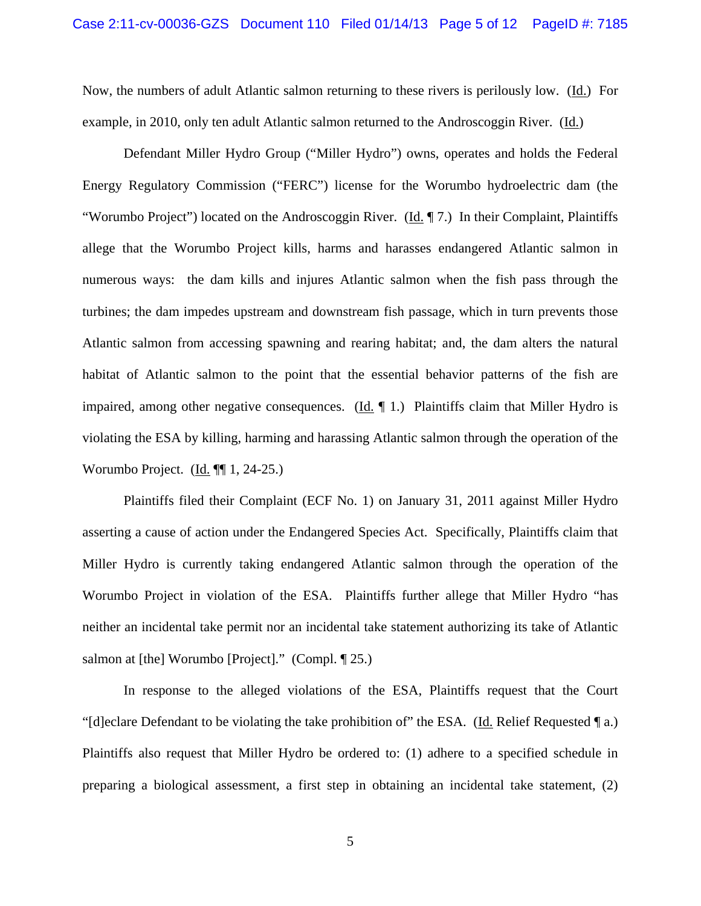Now, the numbers of adult Atlantic salmon returning to these rivers is perilously low. (Id.) For example, in 2010, only ten adult Atlantic salmon returned to the Androscoggin River. (Id.)

Defendant Miller Hydro Group ("Miller Hydro") owns, operates and holds the Federal Energy Regulatory Commission ("FERC") license for the Worumbo hydroelectric dam (the "Worumbo Project") located on the Androscoggin River. (Id. ¶ 7.) In their Complaint, Plaintiffs allege that the Worumbo Project kills, harms and harasses endangered Atlantic salmon in numerous ways: the dam kills and injures Atlantic salmon when the fish pass through the turbines; the dam impedes upstream and downstream fish passage, which in turn prevents those Atlantic salmon from accessing spawning and rearing habitat; and, the dam alters the natural habitat of Atlantic salmon to the point that the essential behavior patterns of the fish are impaired, among other negative consequences. (Id.  $\P$  1.) Plaintiffs claim that Miller Hydro is violating the ESA by killing, harming and harassing Atlantic salmon through the operation of the Worumbo Project. (Id. ¶¶ 1, 24-25.)

Plaintiffs filed their Complaint (ECF No. 1) on January 31, 2011 against Miller Hydro asserting a cause of action under the Endangered Species Act. Specifically, Plaintiffs claim that Miller Hydro is currently taking endangered Atlantic salmon through the operation of the Worumbo Project in violation of the ESA. Plaintiffs further allege that Miller Hydro "has neither an incidental take permit nor an incidental take statement authorizing its take of Atlantic salmon at [the] Worumbo [Project]." (Compl. [25.)

In response to the alleged violations of the ESA, Plaintiffs request that the Court "[d]eclare Defendant to be violating the take prohibition of" the ESA. (Id. Relief Requested  $\P$  a.) Plaintiffs also request that Miller Hydro be ordered to: (1) adhere to a specified schedule in preparing a biological assessment, a first step in obtaining an incidental take statement, (2)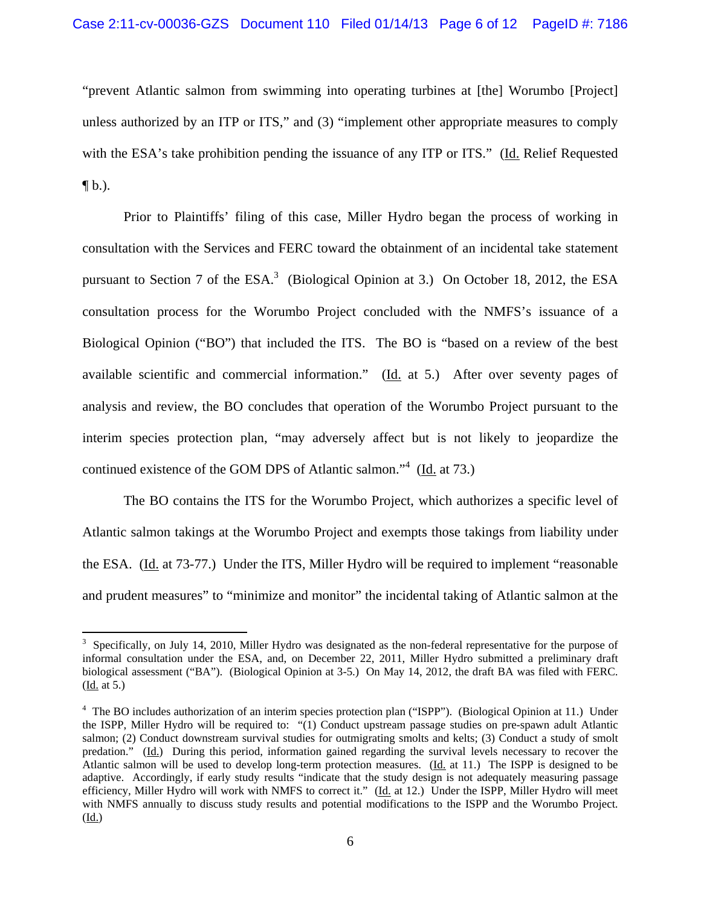"prevent Atlantic salmon from swimming into operating turbines at [the] Worumbo [Project] unless authorized by an ITP or ITS," and (3) "implement other appropriate measures to comply with the ESA's take prohibition pending the issuance of any ITP or ITS." (Id. Relief Requested  $\P b.$ ).

 Prior to Plaintiffs' filing of this case, Miller Hydro began the process of working in consultation with the Services and FERC toward the obtainment of an incidental take statement pursuant to Section 7 of the ESA.<sup>3</sup> (Biological Opinion at 3.) On October 18, 2012, the ESA consultation process for the Worumbo Project concluded with the NMFS's issuance of a Biological Opinion ("BO") that included the ITS. The BO is "based on a review of the best available scientific and commercial information." ( $\underline{Id}$ , at 5.) After over seventy pages of analysis and review, the BO concludes that operation of the Worumbo Project pursuant to the interim species protection plan, "may adversely affect but is not likely to jeopardize the continued existence of the GOM DPS of Atlantic salmon."<sup>4</sup> (Id. at 73.)

The BO contains the ITS for the Worumbo Project, which authorizes a specific level of Atlantic salmon takings at the Worumbo Project and exempts those takings from liability under the ESA. (Id. at 73-77.) Under the ITS, Miller Hydro will be required to implement "reasonable and prudent measures" to "minimize and monitor" the incidental taking of Atlantic salmon at the

<sup>&</sup>lt;sup>3</sup> Specifically, on July 14, 2010, Miller Hydro was designated as the non-federal representative for the purpose of informal consultation under the ESA, and, on December 22, 2011, Miller Hydro submitted a preliminary draft biological assessment ("BA"). (Biological Opinion at 3-5.) On May 14, 2012, the draft BA was filed with FERC. (Id. at 5.)

<sup>&</sup>lt;sup>4</sup> The BO includes authorization of an interim species protection plan ("ISPP"). (Biological Opinion at 11.) Under the ISPP, Miller Hydro will be required to: "(1) Conduct upstream passage studies on pre-spawn adult Atlantic salmon; (2) Conduct downstream survival studies for outmigrating smolts and kelts; (3) Conduct a study of smolt predation." (Id.) During this period, information gained regarding the survival levels necessary to recover the Atlantic salmon will be used to develop long-term protection measures. (Id. at 11.) The ISPP is designed to be adaptive. Accordingly, if early study results "indicate that the study design is not adequately measuring passage efficiency, Miller Hydro will work with NMFS to correct it." (Id. at 12.) Under the ISPP, Miller Hydro will meet with NMFS annually to discuss study results and potential modifications to the ISPP and the Worumbo Project. (Id.)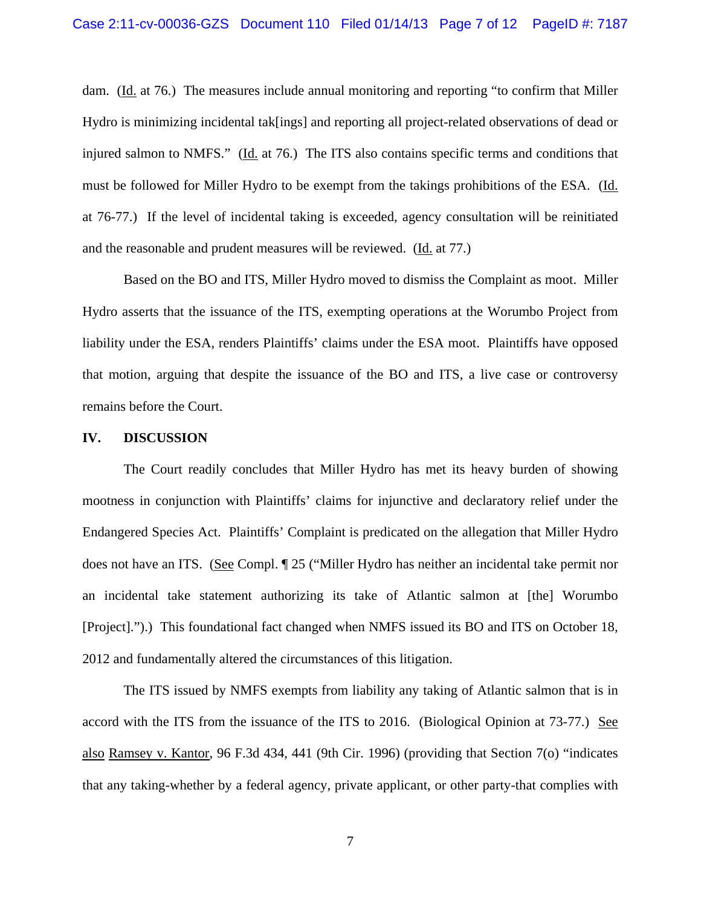dam. (Id. at 76.) The measures include annual monitoring and reporting "to confirm that Miller Hydro is minimizing incidental tak[ings] and reporting all project-related observations of dead or injured salmon to NMFS." (Id. at 76.) The ITS also contains specific terms and conditions that must be followed for Miller Hydro to be exempt from the takings prohibitions of the ESA. (Id. at 76-77.) If the level of incidental taking is exceeded, agency consultation will be reinitiated and the reasonable and prudent measures will be reviewed. (Id. at 77.)

 Based on the BO and ITS, Miller Hydro moved to dismiss the Complaint as moot. Miller Hydro asserts that the issuance of the ITS, exempting operations at the Worumbo Project from liability under the ESA, renders Plaintiffs' claims under the ESA moot. Plaintiffs have opposed that motion, arguing that despite the issuance of the BO and ITS, a live case or controversy remains before the Court.

#### **IV. DISCUSSION**

 The Court readily concludes that Miller Hydro has met its heavy burden of showing mootness in conjunction with Plaintiffs' claims for injunctive and declaratory relief under the Endangered Species Act. Plaintiffs' Complaint is predicated on the allegation that Miller Hydro does not have an ITS. (See Compl. ¶ 25 ("Miller Hydro has neither an incidental take permit nor an incidental take statement authorizing its take of Atlantic salmon at [the] Worumbo [Project].").) This foundational fact changed when NMFS issued its BO and ITS on October 18, 2012 and fundamentally altered the circumstances of this litigation.

The ITS issued by NMFS exempts from liability any taking of Atlantic salmon that is in accord with the ITS from the issuance of the ITS to 2016. (Biological Opinion at 73-77.) See also Ramsey v. Kantor, 96 F.3d 434, 441 (9th Cir. 1996) (providing that Section 7(o) "indicates that any taking-whether by a federal agency, private applicant, or other party-that complies with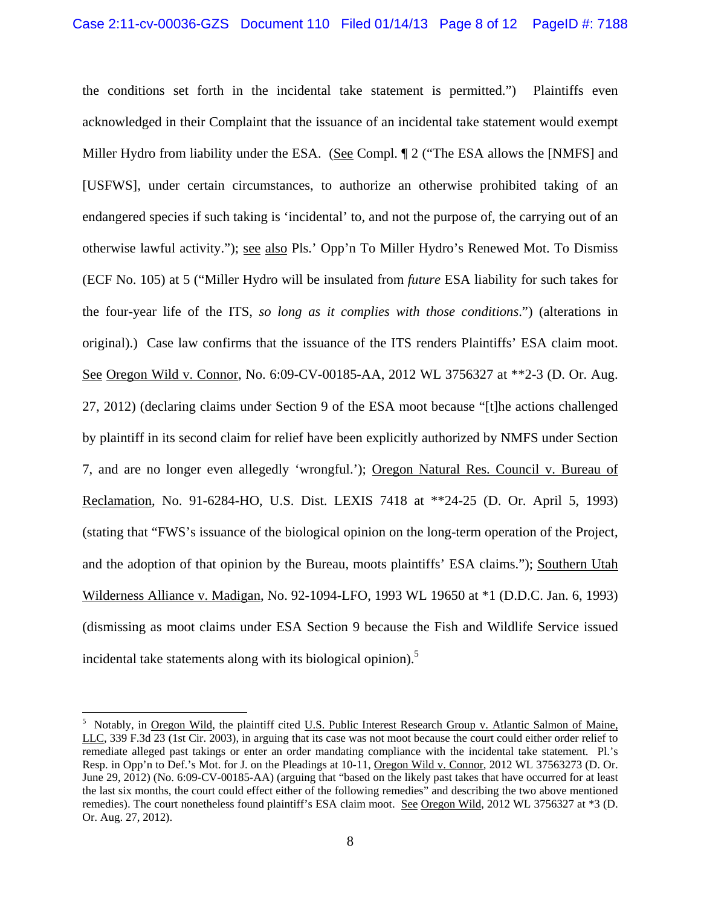the conditions set forth in the incidental take statement is permitted.") Plaintiffs even acknowledged in their Complaint that the issuance of an incidental take statement would exempt Miller Hydro from liability under the ESA. (See Compl. ¶ 2 ("The ESA allows the [NMFS] and [USFWS], under certain circumstances, to authorize an otherwise prohibited taking of an endangered species if such taking is 'incidental' to, and not the purpose of, the carrying out of an otherwise lawful activity."); see also Pls.' Opp'n To Miller Hydro's Renewed Mot. To Dismiss (ECF No. 105) at 5 ("Miller Hydro will be insulated from *future* ESA liability for such takes for the four-year life of the ITS, *so long as it complies with those conditions*.") (alterations in original).) Case law confirms that the issuance of the ITS renders Plaintiffs' ESA claim moot. See Oregon Wild v. Connor, No. 6:09-CV-00185-AA, 2012 WL 3756327 at \*\*2-3 (D. Or. Aug. 27, 2012) (declaring claims under Section 9 of the ESA moot because "[t]he actions challenged by plaintiff in its second claim for relief have been explicitly authorized by NMFS under Section 7, and are no longer even allegedly 'wrongful.'); Oregon Natural Res. Council v. Bureau of Reclamation, No. 91-6284-HO, U.S. Dist. LEXIS 7418 at \*\*24-25 (D. Or. April 5, 1993) (stating that "FWS's issuance of the biological opinion on the long-term operation of the Project, and the adoption of that opinion by the Bureau, moots plaintiffs' ESA claims."); Southern Utah Wilderness Alliance v. Madigan, No. 92-1094-LFO, 1993 WL 19650 at \*1 (D.D.C. Jan. 6, 1993) (dismissing as moot claims under ESA Section 9 because the Fish and Wildlife Service issued incidental take statements along with its biological opinion).<sup>5</sup>

<sup>&</sup>lt;sup>5</sup> Notably, in <u>Oregon Wild</u>, the plaintiff cited U.S. Public Interest Research Group v. Atlantic Salmon of Maine, LLC, 339 F.3d 23 (1st Cir. 2003), in arguing that its case was not moot because the court could either order relief to remediate alleged past takings or enter an order mandating compliance with the incidental take statement. Pl.'s Resp. in Opp'n to Def.'s Mot. for J. on the Pleadings at 10-11, Oregon Wild v. Connor, 2012 WL 37563273 (D. Or. June 29, 2012) (No. 6:09-CV-00185-AA) (arguing that "based on the likely past takes that have occurred for at least the last six months, the court could effect either of the following remedies" and describing the two above mentioned remedies). The court nonetheless found plaintiff's ESA claim moot. See Oregon Wild, 2012 WL 3756327 at \*3 (D. Or. Aug. 27, 2012).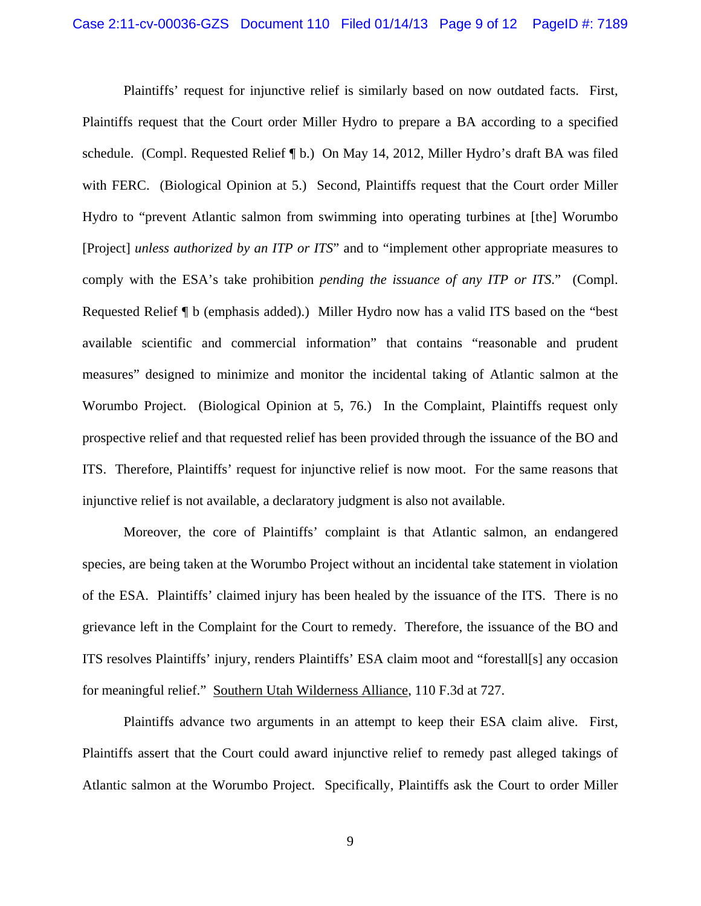Plaintiffs' request for injunctive relief is similarly based on now outdated facts. First, Plaintiffs request that the Court order Miller Hydro to prepare a BA according to a specified schedule. (Compl. Requested Relief ¶ b.) On May 14, 2012, Miller Hydro's draft BA was filed with FERC. (Biological Opinion at 5.) Second, Plaintiffs request that the Court order Miller Hydro to "prevent Atlantic salmon from swimming into operating turbines at [the] Worumbo [Project] *unless authorized by an ITP or ITS*" and to "implement other appropriate measures to comply with the ESA's take prohibition *pending the issuance of any ITP or ITS*." (Compl. Requested Relief ¶ b (emphasis added).) Miller Hydro now has a valid ITS based on the "best available scientific and commercial information" that contains "reasonable and prudent measures" designed to minimize and monitor the incidental taking of Atlantic salmon at the Worumbo Project. (Biological Opinion at 5, 76.) In the Complaint, Plaintiffs request only prospective relief and that requested relief has been provided through the issuance of the BO and ITS. Therefore, Plaintiffs' request for injunctive relief is now moot. For the same reasons that injunctive relief is not available, a declaratory judgment is also not available.

 Moreover, the core of Plaintiffs' complaint is that Atlantic salmon, an endangered species, are being taken at the Worumbo Project without an incidental take statement in violation of the ESA. Plaintiffs' claimed injury has been healed by the issuance of the ITS. There is no grievance left in the Complaint for the Court to remedy. Therefore, the issuance of the BO and ITS resolves Plaintiffs' injury, renders Plaintiffs' ESA claim moot and "forestall[s] any occasion for meaningful relief." Southern Utah Wilderness Alliance, 110 F.3d at 727.

 Plaintiffs advance two arguments in an attempt to keep their ESA claim alive. First, Plaintiffs assert that the Court could award injunctive relief to remedy past alleged takings of Atlantic salmon at the Worumbo Project. Specifically, Plaintiffs ask the Court to order Miller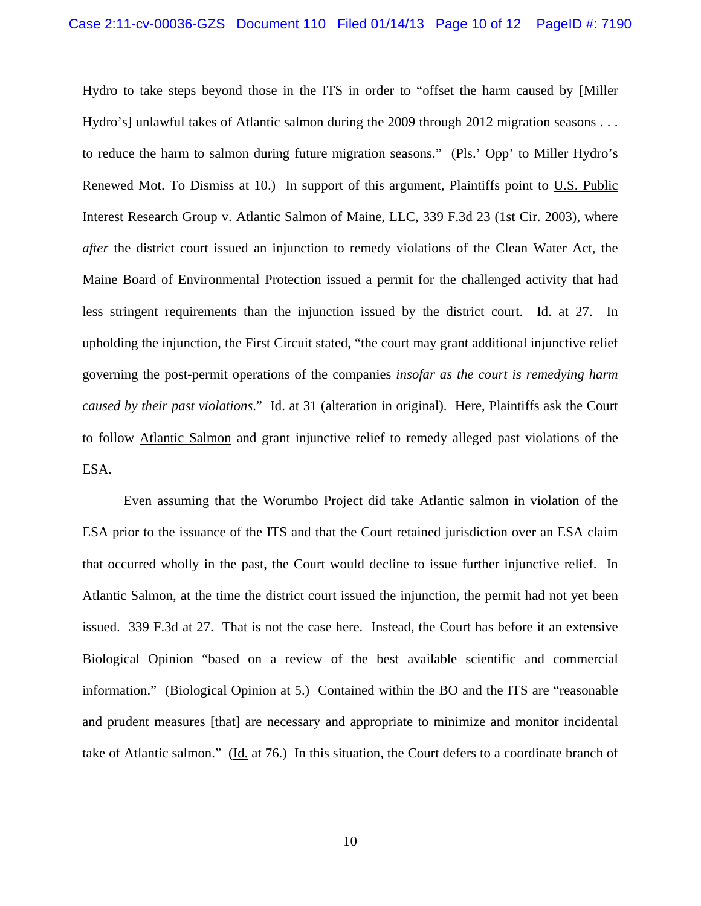Hydro to take steps beyond those in the ITS in order to "offset the harm caused by [Miller Hydro's] unlawful takes of Atlantic salmon during the 2009 through 2012 migration seasons . . . to reduce the harm to salmon during future migration seasons." (Pls.' Opp' to Miller Hydro's Renewed Mot. To Dismiss at 10.) In support of this argument, Plaintiffs point to U.S. Public Interest Research Group v. Atlantic Salmon of Maine, LLC, 339 F.3d 23 (1st Cir. 2003), where *after* the district court issued an injunction to remedy violations of the Clean Water Act, the Maine Board of Environmental Protection issued a permit for the challenged activity that had less stringent requirements than the injunction issued by the district court. Id. at 27. In upholding the injunction, the First Circuit stated, "the court may grant additional injunctive relief governing the post-permit operations of the companies *insofar as the court is remedying harm caused by their past violations*." Id. at 31 (alteration in original). Here, Plaintiffs ask the Court to follow Atlantic Salmon and grant injunctive relief to remedy alleged past violations of the ESA.

 Even assuming that the Worumbo Project did take Atlantic salmon in violation of the ESA prior to the issuance of the ITS and that the Court retained jurisdiction over an ESA claim that occurred wholly in the past, the Court would decline to issue further injunctive relief. In Atlantic Salmon, at the time the district court issued the injunction, the permit had not yet been issued. 339 F.3d at 27. That is not the case here. Instead, the Court has before it an extensive Biological Opinion "based on a review of the best available scientific and commercial information." (Biological Opinion at 5.) Contained within the BO and the ITS are "reasonable and prudent measures [that] are necessary and appropriate to minimize and monitor incidental take of Atlantic salmon." (Id. at 76.) In this situation, the Court defers to a coordinate branch of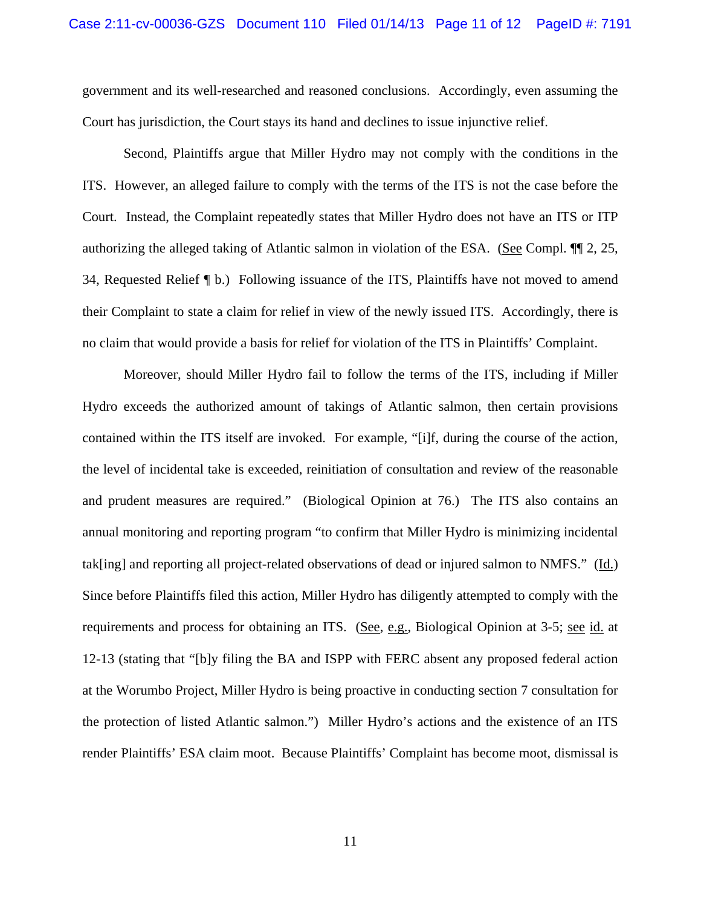government and its well-researched and reasoned conclusions. Accordingly, even assuming the Court has jurisdiction, the Court stays its hand and declines to issue injunctive relief.

 Second, Plaintiffs argue that Miller Hydro may not comply with the conditions in the ITS. However, an alleged failure to comply with the terms of the ITS is not the case before the Court. Instead, the Complaint repeatedly states that Miller Hydro does not have an ITS or ITP authorizing the alleged taking of Atlantic salmon in violation of the ESA. (See Compl. ¶¶ 2, 25, 34, Requested Relief ¶ b.) Following issuance of the ITS, Plaintiffs have not moved to amend their Complaint to state a claim for relief in view of the newly issued ITS. Accordingly, there is no claim that would provide a basis for relief for violation of the ITS in Plaintiffs' Complaint.

 Moreover, should Miller Hydro fail to follow the terms of the ITS, including if Miller Hydro exceeds the authorized amount of takings of Atlantic salmon, then certain provisions contained within the ITS itself are invoked. For example, "[i]f, during the course of the action, the level of incidental take is exceeded, reinitiation of consultation and review of the reasonable and prudent measures are required." (Biological Opinion at 76.) The ITS also contains an annual monitoring and reporting program "to confirm that Miller Hydro is minimizing incidental tak[ing] and reporting all project-related observations of dead or injured salmon to NMFS." (Id.) Since before Plaintiffs filed this action, Miller Hydro has diligently attempted to comply with the requirements and process for obtaining an ITS. (See, e.g., Biological Opinion at 3-5; see id. at 12-13 (stating that "[b]y filing the BA and ISPP with FERC absent any proposed federal action at the Worumbo Project, Miller Hydro is being proactive in conducting section 7 consultation for the protection of listed Atlantic salmon.") Miller Hydro's actions and the existence of an ITS render Plaintiffs' ESA claim moot. Because Plaintiffs' Complaint has become moot, dismissal is